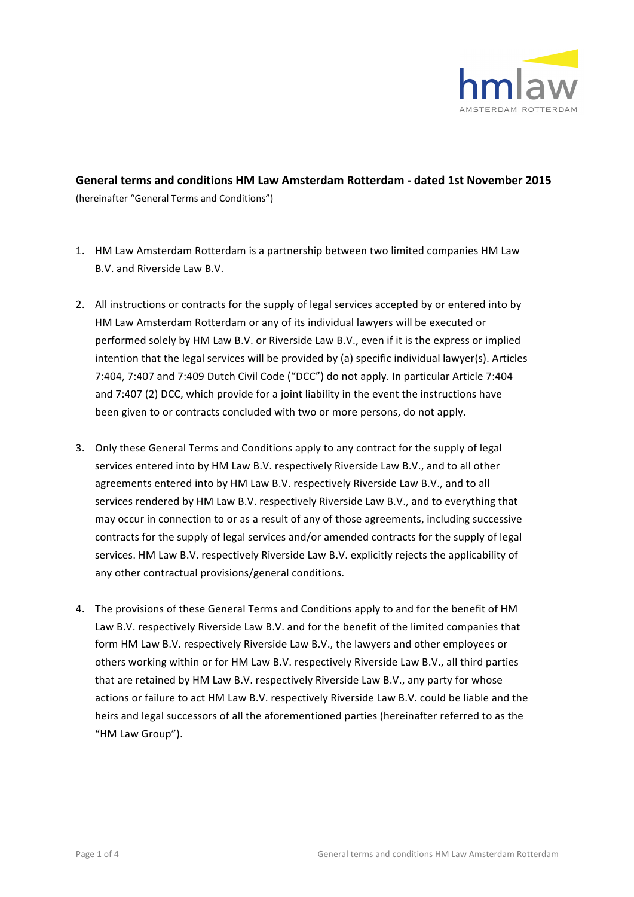

## General terms and conditions HM Law Amsterdam Rotterdam - dated 1st November 2015 (hereinafter "General Terms and Conditions")

- 1. HM Law Amsterdam Rotterdam is a partnership between two limited companies HM Law B.V. and Riverside Law B.V.
- 2. All instructions or contracts for the supply of legal services accepted by or entered into by HM Law Amsterdam Rotterdam or any of its individual lawyers will be executed or performed solely by HM Law B.V. or Riverside Law B.V., even if it is the express or implied intention that the legal services will be provided by (a) specific individual lawyer(s). Articles 7:404, 7:407 and 7:409 Dutch Civil Code ("DCC") do not apply. In particular Article 7:404 and  $7:407$  (2) DCC, which provide for a joint liability in the event the instructions have been given to or contracts concluded with two or more persons, do not apply.
- 3. Only these General Terms and Conditions apply to any contract for the supply of legal services entered into by HM Law B.V. respectively Riverside Law B.V., and to all other agreements entered into by HM Law B.V. respectively Riverside Law B.V., and to all services rendered by HM Law B.V. respectively Riverside Law B.V., and to everything that may occur in connection to or as a result of any of those agreements, including successive contracts for the supply of legal services and/or amended contracts for the supply of legal services. HM Law B.V. respectively Riverside Law B.V. explicitly rejects the applicability of any other contractual provisions/general conditions.
- 4. The provisions of these General Terms and Conditions apply to and for the benefit of HM Law B.V. respectively Riverside Law B.V. and for the benefit of the limited companies that form HM Law B.V. respectively Riverside Law B.V., the lawyers and other employees or others working within or for HM Law B.V. respectively Riverside Law B.V., all third parties that are retained by HM Law B.V. respectively Riverside Law B.V., any party for whose actions or failure to act HM Law B.V. respectively Riverside Law B.V. could be liable and the heirs and legal successors of all the aforementioned parties (hereinafter referred to as the "HM Law Group").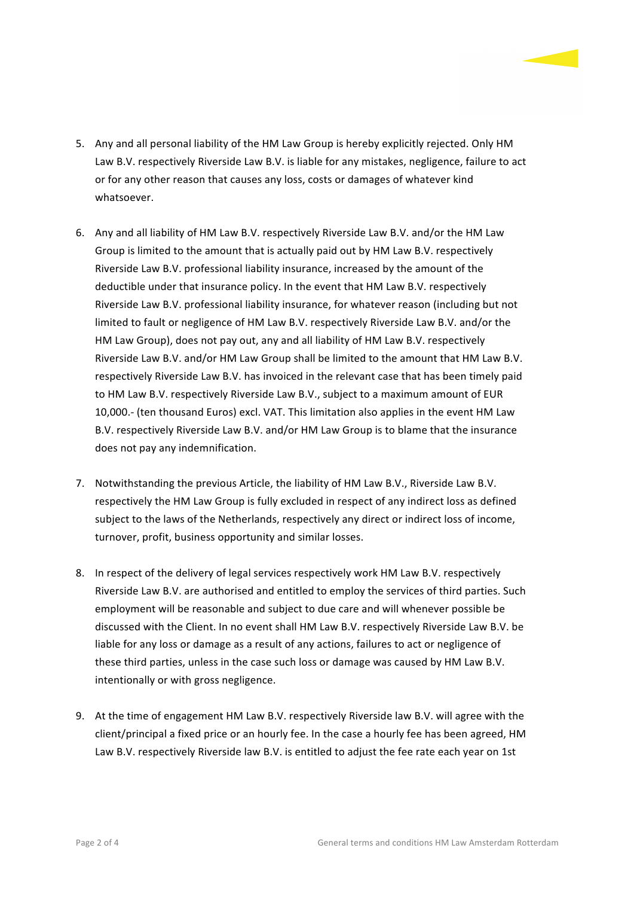

- 5. Any and all personal liability of the HM Law Group is hereby explicitly rejected. Only HM Law B.V. respectively Riverside Law B.V. is liable for any mistakes, negligence, failure to act or for any other reason that causes any loss, costs or damages of whatever kind whatsoever.
- 6. Any and all liability of HM Law B.V. respectively Riverside Law B.V. and/or the HM Law Group is limited to the amount that is actually paid out by HM Law B.V. respectively Riverside Law B.V. professional liability insurance, increased by the amount of the deductible under that insurance policy. In the event that HM Law B.V. respectively Riverside Law B.V. professional liability insurance, for whatever reason (including but not limited to fault or negligence of HM Law B.V. respectively Riverside Law B.V. and/or the HM Law Group), does not pay out, any and all liability of HM Law B.V. respectively Riverside Law B.V. and/or HM Law Group shall be limited to the amount that HM Law B.V. respectively Riverside Law B.V. has invoiced in the relevant case that has been timely paid to HM Law B.V. respectively Riverside Law B.V., subject to a maximum amount of EUR 10,000.- (ten thousand Euros) excl. VAT. This limitation also applies in the event HM Law B.V. respectively Riverside Law B.V. and/or HM Law Group is to blame that the insurance does not pay any indemnification.
- 7. Notwithstanding the previous Article, the liability of HM Law B.V., Riverside Law B.V. respectively the HM Law Group is fully excluded in respect of any indirect loss as defined subject to the laws of the Netherlands, respectively any direct or indirect loss of income, turnover, profit, business opportunity and similar losses.
- 8. In respect of the delivery of legal services respectively work HM Law B.V. respectively Riverside Law B.V. are authorised and entitled to employ the services of third parties. Such employment will be reasonable and subject to due care and will whenever possible be discussed with the Client. In no event shall HM Law B.V. respectively Riverside Law B.V. be liable for any loss or damage as a result of any actions, failures to act or negligence of these third parties, unless in the case such loss or damage was caused by HM Law B.V. intentionally or with gross negligence.
- 9. At the time of engagement HM Law B.V. respectively Riverside law B.V. will agree with the client/principal a fixed price or an hourly fee. In the case a hourly fee has been agreed, HM Law B.V. respectively Riverside law B.V. is entitled to adjust the fee rate each year on 1st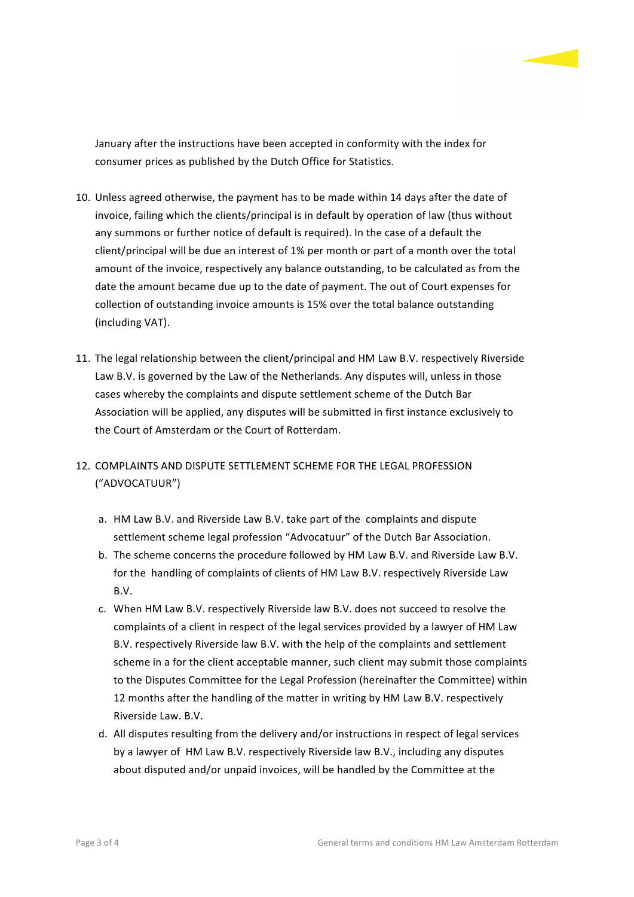

January after the instructions have been accepted in conformity with the index for consumer prices as published by the Dutch Office for Statistics.

- 10. Unless agreed otherwise, the payment has to be made within 14 days after the date of invoice, failing which the clients/principal is in default by operation of law (thus without any summons or further notice of default is required). In the case of a default the client/principal will be due an interest of 1% per month or part of a month over the total amount of the invoice, respectively any balance outstanding, to be calculated as from the date the amount became due up to the date of payment. The out of Court expenses for collection of outstanding invoice amounts is 15% over the total balance outstanding (including VAT).
- 11. The legal relationship between the client/principal and HM Law B.V. respectively Riverside Law B.V. is governed by the Law of the Netherlands. Any disputes will, unless in those cases whereby the complaints and dispute settlement scheme of the Dutch Bar Association will be applied, any disputes will be submitted in first instance exclusively to the Court of Amsterdam or the Court of Rotterdam.
- 12. COMPLAINTS AND DISPUTE SETTLEMENT SCHEME FOR THE LEGAL PROFESSION ("ADVOCATUUR")
	- a. HM Law B.V. and Riverside Law B.V. take part of the complaints and dispute settlement scheme legal profession "Advocatuur" of the Dutch Bar Association.
	- b. The scheme concerns the procedure followed by HM Law B.V. and Riverside Law B.V. for the handling of complaints of clients of HM Law B.V. respectively Riverside Law B.V.
	- c. When HM Law B.V. respectively Riverside law B.V. does not succeed to resolve the complaints of a client in respect of the legal services provided by a lawyer of HM Law B.V. respectively Riverside law B.V. with the help of the complaints and settlement scheme in a for the client acceptable manner, such client may submit those complaints to the Disputes Committee for the Legal Profession (hereinafter the Committee) within 12 months after the handling of the matter in writing by HM Law B.V. respectively Riverside Law. B.V.
	- d. All disputes resulting from the delivery and/or instructions in respect of legal services by a lawyer of HM Law B.V. respectively Riverside law B.V., including any disputes about disputed and/or unpaid invoices, will be handled by the Committee at the